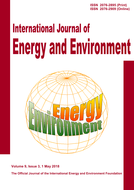**ISSN 2076-2895 (Print) ISSN 2076-2909 (Online)**

# **International Journal of Energy and Environment**



**Volume 9, Issue 3, 1 May 2018**

**The Official Journal of the International Energy and Environment Foundation**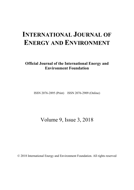# **INTERNATIONAL JOURNAL OF ENERGY AND ENVIRONMENT**

**Official Journal of the International Energy and Environment Foundation**

ISSN 2076-2895 (Print) ISSN 2076-2909 (Online)

Volume 9, Issue 3, 2018

© 2018 International Energy and Environment Foundation. All rights reserved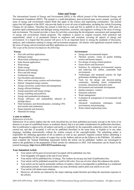### **Aims and Scope**

The International Journal of Energy and Environment (IJEE) is the official journal of the International Energy and Environment Foundation (IEEF). The journal is a multi-disciplinary, peer-reviewed open access journal, covering all areas of energy and environment related fields that apply to the science and engineering communities. The journal enjoys the full support of the IEEF, who provide funds to cover all costs of publication, including the Article Processing Charges for all authors. Therefore the journal is both free to read and free to publish in for everyone. IJEE aims to promote rapid communication and dialogue among researchers, scientists, and engineers working in the areas of energy and environment. The journal provides a focus for activities concerning the development, assessment and management of energy and environment related programs. The emphasis is placed on original research, both analytical and experimental, which is of permanent interest to engineers and scientists, covering all aspects of energy and environment. It is hoped that this journal will prove to be an important factor in raising the standards of discussion, analyses, and evaluations relating to energy and environment programs. All articles with significant research results in the areas of energy and environment and their application are welcome.

*The scope of the journal encompasses the following:*

#### **Energy**

- Fuel cells and their applications.
- Hydrogen energy.
- Photovoltaic technology conversion.
- Solar thermal applications.
- Wind energy.
- Hydro energy.
- Biomass and bioenergy.
- Wave and tide energy.
- Geothermal energy.
- Fuel flexibility and alternatives.
- Micro- and nano-energy systems and technologies.
- Hybrid / integrated energy systems.
- Energy conversion, conservation and management.
- Energy efficient buildings.
- Energy generation and energy storage.
- Energy modelling and prediction.
- Energy and sustainable development.
- Energy efficiency and sustainability inherent in heritage places.
- Fluid mechanics and thermodynamics, including CFD, heat transfer and combustion.
- Smart materials and structures.
- Materials for energy.

#### **Environment**

- Energy and environmental impact.
- Thermal, acoustic, visual, air quality building science and human impacts.
- Eco-design of energy-related products.
- Green electric and electronics.
- Solutions for mitigating environmental impacts and achieving low carbon, sustainable built environments.
- Technologies and integrated systems for high performance buildings and cities.
- Tools for the design and decision-making community, including tested computational, economic, educational and policy tools.
- Environment and sustainable development.
- Quality assurance / control.
- Emissions reduction.
- Waste management.
- Evaluation & management of environmental risk and safety.
- Advanced visualization techniques, virtual environments and prototyping.
- Water-related engineering issues.

#### **A note to authors**

#### *Submission of articles*

Submission of an article implies that the work described has not been published previously (except in the form of an abstract or as part of a published lecture or academic thesis), that it is not under consideration for publication elsewhere, that its publication is approved by all authors and tacitly or explicitly by the responsible authorities where the work was carried out, and that, if accepted, it will not be published elsewhere in the same form, in English or in any other language, including electronically without the written consent of the copyright-holder. The submitting author is responsible for obtaining agreement of all co-authors as well as any sponsors' required consent before submitting a paper. Responsibility for the content of a paper lays on the Authors and not on the Editors or the Publisher. All authors must complete the 'Journal Publishing Agreement' before the article can be published. Authors are encouraged to observe the guidelines in the preparation of their articles for submission to IJEE. Full instructions can be found on the journal homepage (*http://www.IJEE.IEEFoundation.org*).

#### **Your Submitted Article**

- Your article will be peer-reviewed and if accepted will be published very fast.
- Your biography will appear at the end of your article.
- Your article will be published free of charge. The Authors do not pay any kind of publication fees.
- Your article will be published around the world in full color. Free use of color where this enhances the article.
- Your article can be read by potentially millions of readers, which is incomparable to publishing in a traditional subscription journal. All interested readers can read, download, and/or print your article at no cost!
- Your article will obtain more citations.
- Moreover, all articles are indexed by the major indexing media therefore providing the maximum exposure to the articles.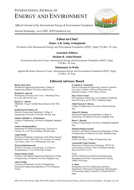# INTERNATIONAL JOURNAL OF ENERGY AND ENVIRONMENT

*Official Journal of the International Energy & Environment Foundation*

*Journal homepage: www.IJEE. IEEFoundation.org*



# **Editor-in-Chief**

**Maher A.R. Sadiq Al-Baghdadi**

*President of the International Energy and Environment Foundation (IEEF), Najaf, P.O.Box. 39, Iraq.*

# **Associate Editors**

## **Hashim R. Abdol Hamid**

*Environment Research Center, International Energy and Environment Foundation (IEEF), Najaf, P.O.Box. 39, Iraq.*

## **Muhannad Al-Waily**

*Applied Mechanics Research Center, International Energy and Environment Foundation (IEEF), Najaf, P.O.Box. 39, Iraq.*

# **Editorial Advisory Board**

#### **Basim Ajeel Abass**

Mechanical Engineering Department, College of Engineering, Babylon University, Babylon, Iraq .

#### **Ramesh K. Agarwal**

Washington University in St. Louis, 1 Brookings Drive, St. Louis, MO 63130, USA

#### **Hayder Y. Ahmad**

MIMechE, CEng, 81 Suffolk Road, Harrow, HA2 7QF, UK.

#### **Kadim Karim Mohsen Ali**

Materials Engineering Department, College of Engineering, University of Thi-Qar, Thi-Qar, Iraq.

#### **Mohsin Abdullah A. Al-Shammari**

College of Engineering, University of Baghdad, Baghdad, Iraq.

#### **Amitava Bandyopadhyay**

Department of Chemical Engineering, University of Calcutta, 92, A.P.C.Road, Kolkata 700 009, India.

#### **Angelo Basile**

Institute on Membrane Technology of the Italian National Research Council, ITM-CNR, c/o University of Calabria, via P. Bucci, cubo 17/C, 87030 Rende (CS), Italy.

#### **Wojciech Budzianowski**

Wroclaw University of Technology, ul. Wybrzeze Wyspianskiego 27, 50-370 Wroclaw, Poland.

#### **Jumaa Salman Chiad**

Prosthetic and Orthotic Engineering Department, College of Engineering, Al-Nahrain University, Baghdad, Iraq.

#### **Ahmet Erklig**

University of Gaziantep, Faculty of Engineering, Mechanical Engineering Department, 27310 Gaziantep, Turkey.

#### **Evangelos G. Giakoumis**

School of Mechanical Engineering, National Technical University of Athens, 9 Heroon Polytechniou St., Zografou Campus, 15780, Athens, Greece.

#### **Eloy Velasco Gomez**

ETS Ingenieros Industriales, Universidad de Valladolid, Paseo del Cauce, no 59, 47011 Valladolid, Spain.

#### **Abdul Kareem F. Hassan**

College of Engineering, University of Basrah, Basrah, Iraq.

#### **Ahmed M. Hasson**

Mechanical Engineering Department, College of Engineering, Al-Nahrain University, Baghdad, Iraq.

#### **Ihsan Y. Hussain**

College of Engineering, University of Baghdad, Baghdad, Iraq.

#### **Mahmud Rasheed Ismail**

Prosthetic and Orthotic Engineering Department, College of Engineering, Al-Nahrain University, Baghdad, Iraq.

#### **Muhsin Jweeg**

Telafer University, College of Engineering, Iraq.

#### **Arunachala Nadar Kannan**

Department of Engineering Technology, TECH 156, Arizona State University, 7001 E Williams Field Rd, Mesa, AZ 85212, U.S.A.

#### **T. Lu**

School of Mechanical and Electrical Engineering, Beisanhuan East Road, Chaoyang District, Beijing 100029, P.R.China.

#### **A. Mani**

Refrigeration and Air-conditioning Laboratory, Department of Mechanical Engineering, Indian Institute of Technology Madras, Chennai 36, Pincode 600 036, India.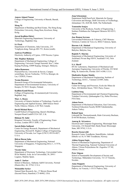#### **Ameen Ahmed Nassar**

College of Engineering, University of Basrah, Basrah, Iraq.

#### **Meng Ni**

Department of Building and Real Estate, The Hong Kong Polytechnic University, Hung Hom, Kowloon, Hong Kong.

#### **Jawad Kadhim Oleiwi**

Materials Engineering Department, University of Technology, Baghdad, Iraq.

#### **S-J Park**

Department of Chemistry, Inha University, 253 Yonghyun-dong, Nam-gu 402-751, Korea (south).

#### **Andreas Poullikkas**

Electricity Authority of Cyprus, 1399 Nicosia, Cyprus.

#### **Md. Mujibur Rahman**

Department of Mechanical Engineering, College of Engineering, Universiti Tenaga Nasional, Km 7, Jalan Kajang-Puchong, 43009 Kajang, Selangor, Malaysia.

#### **Julien Ramousse**

Polytech'Savoie, Université de Savoie, Campus scientifique, Savoie Technolac, 73376 Le Bourget, du Lac, CEDEX, France.

#### **Teemu Rasanen**

Research Group of Environmental Informatics, Department of Environmental Sciences, University of Kuopio, FI-70211 Kuopio, Finland.

#### **Kadhim Kamil Resan**

College of Engineering, Al-mustansiriyah University, Baghdad, Iraq.

#### **Marc A. Rosen**

University of Ontario Institute of Technology, Faculty of Engineering and Applied Science, 2000 Simcoe Street North, Oshawa, Ontario, L1H 7K4, Canada.

#### **David Michael Rowe**

Cardiff School of Engineering, Queen's Buildings, Newport Road Cardiff CF24 1XF, U.K.

#### **Hisham M. Sabir**

Kingston University, Faculty of Engineering, Friars Avenue, London SW15 3DW, U.K.

#### **Suresh Babu Sadineni**

Center for Energy Research, Department of Mechanical Engineering, Howard R. Hughes College of Engineering, University of Nevada, Las Vegas (UNLV) 89154-4027, U.S.A.

#### **Bidyut Baran Saha**

Department of Mechanical Engineering, National University of Singapore, 9 Engineering Drive 1, 117576, Singapore.

#### **Vicente Salas**

Department of Electronic Technology, Universidad Carlos III de Madrid, Avda. de la Universidad, 30, 28911 Leganes, Madrid, Spain.

#### **Amin U. Sarkar**

School of Business, Alabama A&M University, Normal (Huntsville), AL 35762, U.S.A.

#### **Moinuddin Sarker**

Natural State Research, Inc., 37 Brown House Road (Second Floor), Stamford, CT-06902, USA.

#### **Joop Schoonman**

Department DelftChemTech: Materials for Energy Conversion and Storage, Delft University of Technology, Julianalaan 136, 2628 BL Delft, The Netherlands.

#### **Tomonobu Senjyu**

University of the Ryukyus, Faculty of Engineering, 1 Senbaru Nishihara-cho Nakagami Okinawa 903-0213, Japan.

#### **Jose Ramon Serrano**

Universidad Politécnica de Valencia, CMT-Motores Térmicos, Camino de Vera s/n, 46022 Valencia, Spain.

#### **Haroun A.K. Shahad**

Department of Mechanical Engineering, University of Babylon, Babylon, Iraq

#### **Rajnish N. Sharma**

Department of Mechanical Engineering, University of Auckland, Private Bag 92019, Auckland 1142, New Zealand.

#### **S.A. Sherif**

HVAC Laboratory, Department of Mechanical and Aerospace Engineering, University of Florida, 232 MAE Bldg. B, Gainesville, Florida 32611-6300, U.S.A.

#### **Shailendra Kumar Shukla**

Department of Mechanical Engineering, Institute of Technology, B.H.U., Varanasi-221005, India.

#### **Rayan Slim**

Center for Energy and Processes, Ecole des Mines de Paris, 104 Bobillot Street, 75013 Paris, France.

#### **Laizhou Song**

Department of Environmental and Chemical Engineering, Yanshan University, Qinhuangdao City, Hebei Province, P.R.China.

#### **Adnan Sozen**

Department of Mechanical Education, Gazi University, Technical Education Faculty 06500 Teknikokullar, Ankara Turkey.

#### **Roland Span**

Lehrstuhl für Thermodynamik, Ruhr-University Bochum, D-44780 Bochum, Germany.

#### **Anurag K. Srivastava**

Electrical and Computer Engineering, Mississippi State University, 216 Simrall Hall, Hardy Road, Mississippi State, MS 39762, U.S.A.

#### **Rosetta Steeneveldt**

Research Centre Trondheim, StatoilHydro, Arkitekt Ebbells vei 10, N 7005 Trondheim, Norway.

#### **Athina Stegou-Sagia**

School of Mechanical Engineering, Department of Thermal Engineering, National Technical University of Athens, 9 Iroon Polytechniou Str. Zografou 157 80, Athens, Greece.

#### **Peter Stigson**

School of Sustainable Development of Society and Technology, Mälardalen University, 721 23 Västerås, Sweden.

#### **Anna Stoppato**

Department of Mechanical Engineering, University of Padova, via Venezia, 1-35131 Padova, Italy.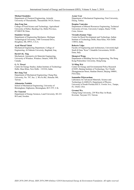#### **Michael Stoukides**

Department of Chemical Engineering, Aristotle University of Thessaloniki, Thessaloniki 54124, Greece.

#### **Jian-Feng Sun**

College of Food Science and Technology, Agricultural University of Hebei, Baoding City, Hebei Province, 071000 P.R.China.

#### **Stanislaw Szwaja**

Department of Engineering Mechanics, Michigan Technological University, 1400 Townsend Drive, Houghton, MI, 49931, U.S.A.

#### **Ayad Murad Takak**

Mechanical Engineering Department, College of Engineering, Al-Nahrain University, Baghdad, Iraq.

#### **David S-K. Ting**

Mechanical, Automotive & Materials Engineering, University of Windsor, Windsor, Ontario, N9B 3P4, Canada.

#### **G. N. Tiwari**

Centre for Energy Studies, Indian Institute of Technology Delhi, Hauz Khas, New Delhi - 110 016, India.

#### **Bor-Jang Tsai**

Department of Mechanical Engineering, Chung Hua University, No. 707, Sec. 2, Wu Fu Rd., Hsinchu 300, Taiwan.

#### **Athanasios Tsolakis**

School of Mechanical Engineering, University of Birmingham, Edgbaston, Birmingham, B15 2TT, U.K.

#### **Per Tunestal**

Department of Energy Sciences, Lund University, SE-221 00 Lund, Sweden.

#### **Aynur Ucar**

Department of Mechanical Engineering, Firat University, Elazig, Turkey.

#### **Despina Vamvuka**

Department of Mineral Resources Engineering, Technical University of Crete, University Campus, Hania 73100, Crete, Greece.

#### **Virendra Kumar Vijay**

Centre for Rural Development and Technology, Indian Institute of Technology Delhi, Hauz Khas, New Delhi 110016, India.

#### **Roberto Volpe**

Faculty of Engineering and Architecture, Università degli Studi di Enna "Kore" Cittadella Universitaria, 94100 - Enna, Italy.

#### **Shengwei Wang**

Department of Building Services Engineering, The Hong Kong Polytechnic University, Hong Kong.

#### **Yi-Ming Wei**

Center for Energy and Environmental Policy Research (CEEP), Beijing Institute of Technology, No.5 South Zhongguancun Street, Haidian District, Beijing 100081, P.R.China.

#### **Samantha Wijewardane**

Laboratory for Advanced Materials, Science and Technology (LAMSAT), Department of Physics, University of South Florida,4202 E. Fowler Ave., Tampa, FL 33620, USA.

#### **Gwomei Wu**

Chang Gung University, 259 Wen Hua 1st Road, Kweisan, Taoyuan 333, Taiwan.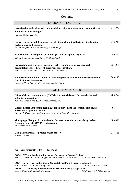# **Contents**

| <b>ENERGY AND ENVIRONMENT</b>                                                                                                                                                                                            |         |  |
|--------------------------------------------------------------------------------------------------------------------------------------------------------------------------------------------------------------------------|---------|--|
| Investigation on heat transfer augmentation using continuous and broken ribs on<br>a plate of heat exchanger.<br>Ghassan Fadhil Smaisim                                                                                  | 211-232 |  |
| Improvement in cold flow properties of biodiesel and its effects on diesel engine<br>performance and emissions.<br>Arvind Mangad, Murari Mohon Roy, Wilson Wang                                                          | 233-248 |  |
| Experimental investigation of submerged flow over piano key weir.<br>Saleh I. Khassaf, Mohamed Baqer N. Al-Baghdadi                                                                                                      | 249-260 |  |
| Preparation and characterization of $\gamma$ -Al <sub>2</sub> O <sub>3</sub> nanoparticles via chemical<br>precipitation route: Effect of precursor concentration.<br>Alaa Jassim Awadh, Saad H. Ammar, Ban A. Altabbakh | 261-268 |  |
| Numerical simulation of indoor airflow and particle deposition in the clean room<br>(surgical operation room).<br>Haider M.H. AL-Shami, Ali A. Monem, Emad A. Khazal                                                     | 269-282 |  |
| <b>APPLIED MECHANICS</b>                                                                                                                                                                                                 |         |  |
| Effect of the carbon nanotube (CNT) in the materials used for prosthetics and<br>orthotics applications.<br>Jumaa S. Chiad, Wajdi Sadik, Abbas Hameed Jeryo                                                              | 283-294 |  |
| Ultrasonic impact peening technique for improvement the constant amplitude<br>corrosion-fatigue interaction.<br>Hussain J. Mohammed Al-Alkawi, Amer H. Majeed, Saba Farhan Naser                                         | 295-302 |  |
| Modifying of fatigue characterization for natural rubber materials by carbon<br>Nano-particle tube (CNT) reinforcement.<br>Ali Hammoudi Al-Wazir                                                                         | 303-310 |  |
| Using elastography to predict breast cancer.<br>Bashar A. Bedaiwi                                                                                                                                                        | 311-316 |  |

# **Announcements - IEEF Release BOOK: CFD Applications in Energy and Environment Sectors: Volume 1.**

| DOOR, CPD Applications in Engley and Environment Sectors, Volume 1,              |                                |
|----------------------------------------------------------------------------------|--------------------------------|
| Editors: Maher A.R. Sadiq Al-Baghdadi and Hashim R. Abdol Hamid                  | $(ISBN 13: 978-1-46623-065-1)$ |
| <b>BOOK: Engineering Applications of Computational Fluid Dynamics: Volume 1.</b> |                                |
|                                                                                  | (10011112.070.117722.107.1)    |

*Editor: Maher A.R. Sadiq Al-Baghdadi (ISBN 13: 978-1-46623-106-1)* **BOOK: CFD Modeling in Development of Renewable Energy Applications.** *Editor: Maher A.R. Sadiq Al-Baghdadi (ISBN 13: 978-1-46623-131-3)*